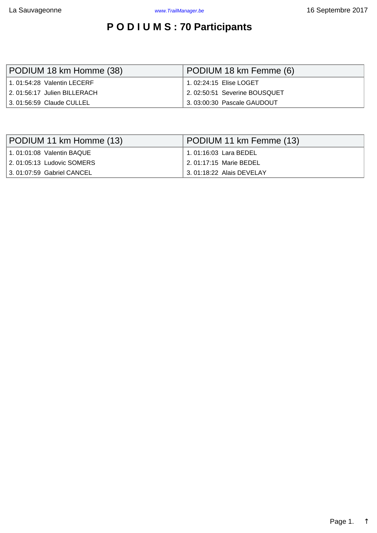## **P O D I U M S : 70 Participants**

<span id="page-0-0"></span>

| PODIUM 18 km Homme (38)          | PODIUM 18 km Femme (6)       |  |  |  |  |
|----------------------------------|------------------------------|--|--|--|--|
| $\pm$ 1.01:54:28 Valentin LECERF |                              |  |  |  |  |
| 2.01:56:17 Julien BILLERACH      | 2.02:50:51 Severine BOUSQUET |  |  |  |  |
| 3. 01:56:59 Claude CULLEL        | 3.03:00:30 Pascale GAUDOUT   |  |  |  |  |

| PODIUM 11 km Homme (13)    | PODIUM 11 km Femme (13)  |  |  |  |  |
|----------------------------|--------------------------|--|--|--|--|
| 1.01:01:08 Valentin BAQUE  | 1.01:16:03 Lara BEDEL    |  |  |  |  |
| 2. 01:05:13 Ludovic SOMERS | 2.01:17:15 Marie BEDEL   |  |  |  |  |
| 3.01:07:59 Gabriel CANCEL  | 3.01:18:22 Alais DEVELAY |  |  |  |  |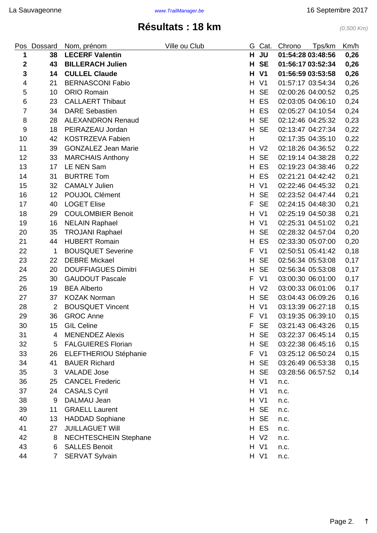## **Résultats : 18 km** (0,500 Km)

<span id="page-1-0"></span>

| Pos            | Dossard        | Nom, prénom                  | Ville ou Club | G  | Cat.           | Chrono            | Tps/km            | Km/h |
|----------------|----------------|------------------------------|---------------|----|----------------|-------------------|-------------------|------|
| 1              | 38             | <b>LECERF Valentin</b>       |               | H  | <b>JU</b>      | 01:54:28 03:48:56 |                   | 0,26 |
| $\mathbf 2$    | 43             | <b>BILLERACH Julien</b>      |               | Н  | <b>SE</b>      | 01:56:17 03:52:34 |                   | 0,26 |
| $\mathbf{3}$   | 14             | <b>CULLEL Claude</b>         |               | H  | V <sub>1</sub> | 01:56:59 03:53:58 |                   | 0,26 |
| 4              | 21             | <b>BERNASCONI Fabio</b>      |               | H  | V <sub>1</sub> |                   | 01:57:17 03:54:34 | 0,26 |
| 5              | 10             | <b>ORIO Romain</b>           |               | H  | <b>SE</b>      | 02:00:26 04:00:52 |                   | 0,25 |
| 6              | 23             | <b>CALLAERT Thibaut</b>      |               | H  | ES             |                   | 02:03:05 04:06:10 | 0,24 |
| $\overline{7}$ | 34             | <b>DARE Sebastien</b>        |               | H  | ES             | 02:05:27 04:10:54 |                   | 0,24 |
| 8              | 28             | <b>ALEXANDRON Renaud</b>     |               | H  | <b>SE</b>      | 02:12:46 04:25:32 |                   | 0,23 |
| 9              | 18             | PEIRAZEAU Jordan             |               | H. | <b>SE</b>      |                   | 02:13:47 04:27:34 | 0,22 |
| 10             | 42             | <b>KOSTRZEVA Fabien</b>      |               | Н  |                | 02:17:35 04:35:10 |                   | 0,22 |
| 11             | 39             | <b>GONZALEZ Jean Marie</b>   |               | H  | V <sub>2</sub> | 02:18:26 04:36:52 |                   | 0,22 |
| 12             | 33             | <b>MARCHAIS Anthony</b>      |               | H  | <b>SE</b>      |                   | 02:19:14 04:38:28 | 0,22 |
| 13             | 17             | LE NEN Sam                   |               | H  | ES             |                   | 02:19:23 04:38:46 | 0,22 |
| 14             | 31             | <b>BURTRE Tom</b>            |               | H  | ES             | 02:21:21 04:42:42 |                   | 0,21 |
| 15             | 32             | <b>CAMALY Julien</b>         |               | H  | V <sub>1</sub> | 02:22:46 04:45:32 |                   | 0,21 |
| 16             | 12             | POUJOL Clément               |               | H  | <b>SE</b>      | 02:23:52 04:47:44 |                   | 0,21 |
| 17             | 40             | <b>LOGET Elise</b>           |               | F  | <b>SE</b>      |                   | 02:24:15 04:48:30 | 0,21 |
| 18             | 29             | <b>COULOMBIER Benoit</b>     |               | H  | V <sub>1</sub> | 02:25:19 04:50:38 |                   | 0,21 |
| 19             | 16             | <b>NELAIN Raphael</b>        |               | H  | V <sub>1</sub> | 02:25:31 04:51:02 |                   | 0,21 |
| 20             | 35             | <b>TROJANI Raphael</b>       |               | H  | <b>SE</b>      | 02:28:32 04:57:04 |                   | 0,20 |
| 21             | 44             | <b>HUBERT Romain</b>         |               | H  | ES             |                   | 02:33:30 05:07:00 | 0,20 |
| 22             | 1              | <b>BOUSQUET Severine</b>     |               | F  | V <sub>1</sub> |                   | 02:50:51 05:41:42 | 0,18 |
| 23             | 22             | <b>DEBRE Mickael</b>         |               | H  | <b>SE</b>      | 02:56:34 05:53:08 |                   | 0,17 |
| 24             | 20             | <b>DOUFFIAGUES Dimitri</b>   |               | H. | <b>SE</b>      | 02:56:34 05:53:08 |                   | 0,17 |
| 25             | 30             | <b>GAUDOUT Pascale</b>       |               | F  | V <sub>1</sub> |                   | 03:00:30 06:01:00 | 0,17 |
| 26             | 19             | <b>BEA Alberto</b>           |               | H  | V <sub>2</sub> | 03:00:33 06:01:06 |                   | 0,17 |
| 27             | 37             | <b>KOZAK Norman</b>          |               | H  | <b>SE</b>      | 03:04:43 06:09:26 |                   | 0,16 |
| 28             | $\overline{2}$ | <b>BOUSQUET Vincent</b>      |               | H  | V <sub>1</sub> | 03:13:39 06:27:18 |                   | 0,15 |
| 29             | 36             | <b>GROC Anne</b>             |               | F  | V <sub>1</sub> |                   | 03:19:35 06:39:10 | 0,15 |
| 30             | 15             | <b>GIL Celine</b>            |               | F  | SE             | 03:21:43 06:43:26 |                   | 0,15 |
| 31             | 4              | <b>MENENDEZ Alexis</b>       |               |    | H SE           | 03:22:37 06:45:14 |                   | 0,15 |
| 32             | 5              | <b>FALGUIERES Florian</b>    |               |    | H SE           | 03:22:38 06:45:16 |                   | 0,15 |
| 33             | 26             | <b>ELEFTHERIOU Stéphanie</b> |               | F  | V <sub>1</sub> |                   | 03:25:12 06:50:24 | 0,15 |
| 34             | 41             | <b>BAUER Richard</b>         |               |    | H SE           |                   | 03:26:49 06:53:38 | 0,15 |
| 35             | 3              | <b>VALADE Jose</b>           |               | H. | <b>SE</b>      | 03:28:56 06:57:52 |                   | 0,14 |
| 36             | 25             | <b>CANCEL Frederic</b>       |               |    | H V1           | n.c.              |                   |      |
| 37             | 24             | <b>CASALS Cyril</b>          |               |    | H V1           | n.c.              |                   |      |
| 38             | 9              | DALMAU Jean                  |               |    | H V1           | n.c.              |                   |      |
| 39             | 11             | <b>GRAELL Laurent</b>        |               |    | H SE           | n.c.              |                   |      |
| 40             | 13             | <b>HADDAD Sophiane</b>       |               |    | H SE           | n.c.              |                   |      |
| 41             | 27             | <b>JUILLAGUET Will</b>       |               |    | H ES           | n.c.              |                   |      |
| 42             | 8              | <b>NECHTESCHEIN Stephane</b> |               |    | H V2           | n.c.              |                   |      |
| 43             | 6              | <b>SALLES Benoit</b>         |               |    | H V1           | n.c.              |                   |      |
| 44             | $\overline{7}$ | <b>SERVAT Sylvain</b>        |               |    | H V1           | n.c.              |                   |      |